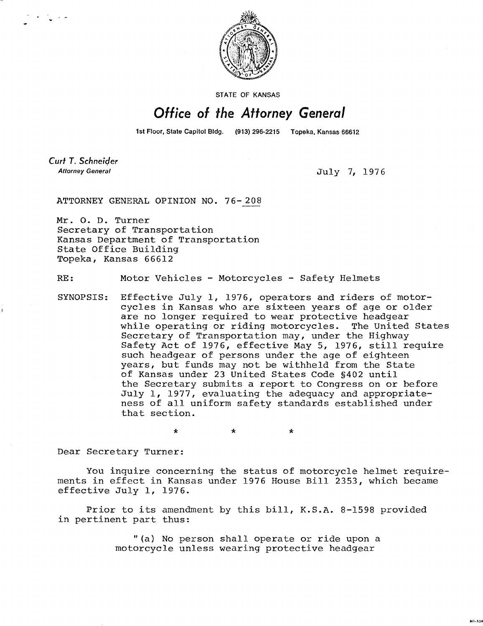

STATE OF KANSAS

## Office of the Attorney General

1st Floor, State Capitol Bldg. (913) 296-2215 Topeka, Kansas 66612

Curt T. Schneider **Attorney General** 

July 7, 1976

M1-104

ATTORNEY GENERAL OPINION NO. 76-208

Mr. 0. D. Turner Secretary of Transportation Kansas Department of Transportation State Office Building Topeka, Kansas 66612

RE: Motor Vehicles - Motorcycles - Safety Helmets

SYNOPSIS: Effective July 1, 1976, operators and riders of motorcycles in Kansas who are sixteen years of age or older are no longer required to wear protective headgear while operating or riding motorcycles. The United States Secretary of Transportation may, under the Highway Safety Act of 1976, effective May 5, 1976, still require such headgear of persons under the age of eighteen years, but funds may not be withheld from the State of Kansas under 23 United States Code §402 until the Secretary submits a report to Congress on or before July 1, 1977, evaluating the adequacy and appropriateness of all uniform safety standards established under that section.

\*

Dear Secretary Turner:

You inquire concerning the status of motorcycle helmet requirements in effect in Kansas under 1976 House Bill 2353, which became effective July 1, 1976.

 $\star$ 

Prior to its amendment by this bill, K.S.A. 8-1598 provided in pertinent part thus:

> "(a) No person shall operate or ride upon a motorcycle unless wearing protective headgear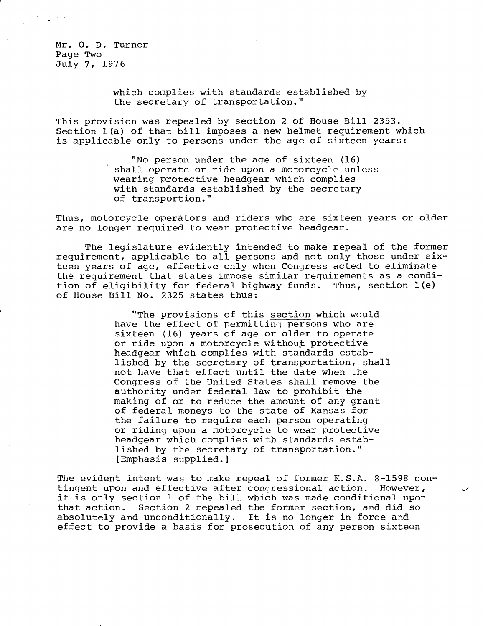Mr. O. D. Turner Page Two July 7, 1976

> which complies with standards established by the secretary of transportation."

This provision was repealed by section 2 of House Bill 2353. Section 1(a) of that bill imposes a new helmet requirement which is applicable only to persons under the age of sixteen years:

> "No person under the age of sixteen (16) shall operate or ride upon a motorcycle unless wearing protective headgear which complies with standards established by the secretary of transportion."

Thus, motorcycle operators and riders who are sixteen years or older are no longer required to wear protective headgear.

The legislature evidently intended to make repeal of the former requirement, applicable to all persons and not only those under sixteen years of age, effective only when Congress acted to eliminate the requirement that states impose similar requirements as a condition of eligibility for federal highway funds. Thus, section 1(e) of House Bill No. 2325 states thus:

> "The provisions of this section which would have the effect of permitting persons who are sixteen (16) years of age or older to operate or ride upon a motorcycle without protective headgear which complies with standards established by the secretary of transportation, shall not have that effect until the date when the Congress of the United States shall remove the authority under federal law to prohibit the making of or to reduce the amount of any grant of federal moneys to the state of Kansas for the failure to require each person operating or riding upon a motorcycle to wear protective headgear which complies with standards established by the secretary of transportation." [Emphasis supplied.]

The evident intent was to make repeal of former K.S.A. 8-1598 contingent upon and effective after congressional action. However, it is only section 1 of the bill which was made conditional upon that action. Section 2 repealed the former section, and did so absolutely and unconditionally. It is no longer in force and effect to provide a basis for prosecution of any person sixteen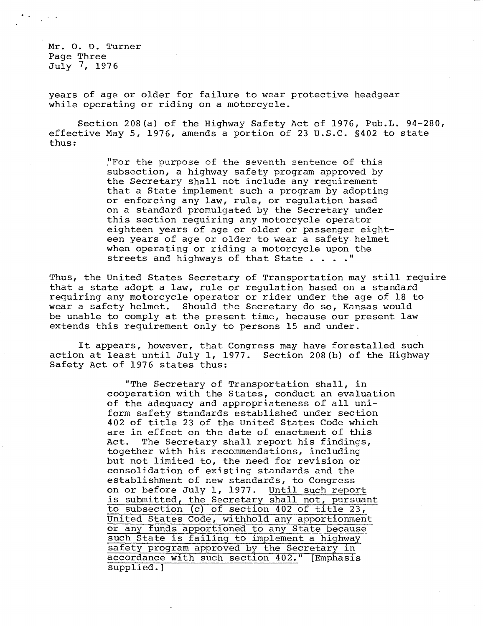Mr. O. D. Turner Page Three July 7, 1976

years of age or older for failure to wear protective headgear while operating or riding on a motorcycle.

Section 208(a) of the Highway Safety Act of 1976, Pub.L. 94-280, effective May 5, 1976, amends a portion of 23 U.S.C. §402 to state thus:

> "For the purpose of the seventh sentence of this subsection, a highway safety program approved by the Secretary shall not include any requirement that a State implement such a program by adopting or enforcing any law, rule, or regulation based on a standard promulgated by the Secretary under this section requiring any motorcycle operator eighteen years of age or older or passenger eighteen years of age or older to wear a safety helmet when operating or riding a motorcycle upon the streets and highways of that State . . . . "

Thus, the United States Secretary of Transportation may still require that a state adopt a law, rule or regulation based on a standard requiring any motorcycle operator or rider under the age of 18 to wear a safety helmet. Should the Secretary do so, Kansas would be unable to comply at the present time, because our present law extends this requirement only to persons 15 and under.

It appears, however, that Congress may have forestalled such action at least until July 1, 1977. Section 208(b) of the Highway Safety Act of 1976 states thus:

> "The Secretary of Transportation shall, in cooperation with the States, conduct an evaluation of the adequacy and appropriateness of all uniform safety standards established under section 402 of title 23 of the United States Code which are in effect on the date of enactment of this Act. The Secretary shall report his findings, together with his recommendations, including but not limited to, the need for revision or consolidation of existing standards and the establishment of new standards, to Congress on or before July 1, 1977. Until such report is submitted, the Secretary shall not, pursuant to subsection (c) of section 402 of title 23, United States Code, withhold any apportionment or any funds apportioned to any State because such State is failing to implement a highway safety program approved by the Secretary in accordance with such section 402." [Emphasis supplied.]